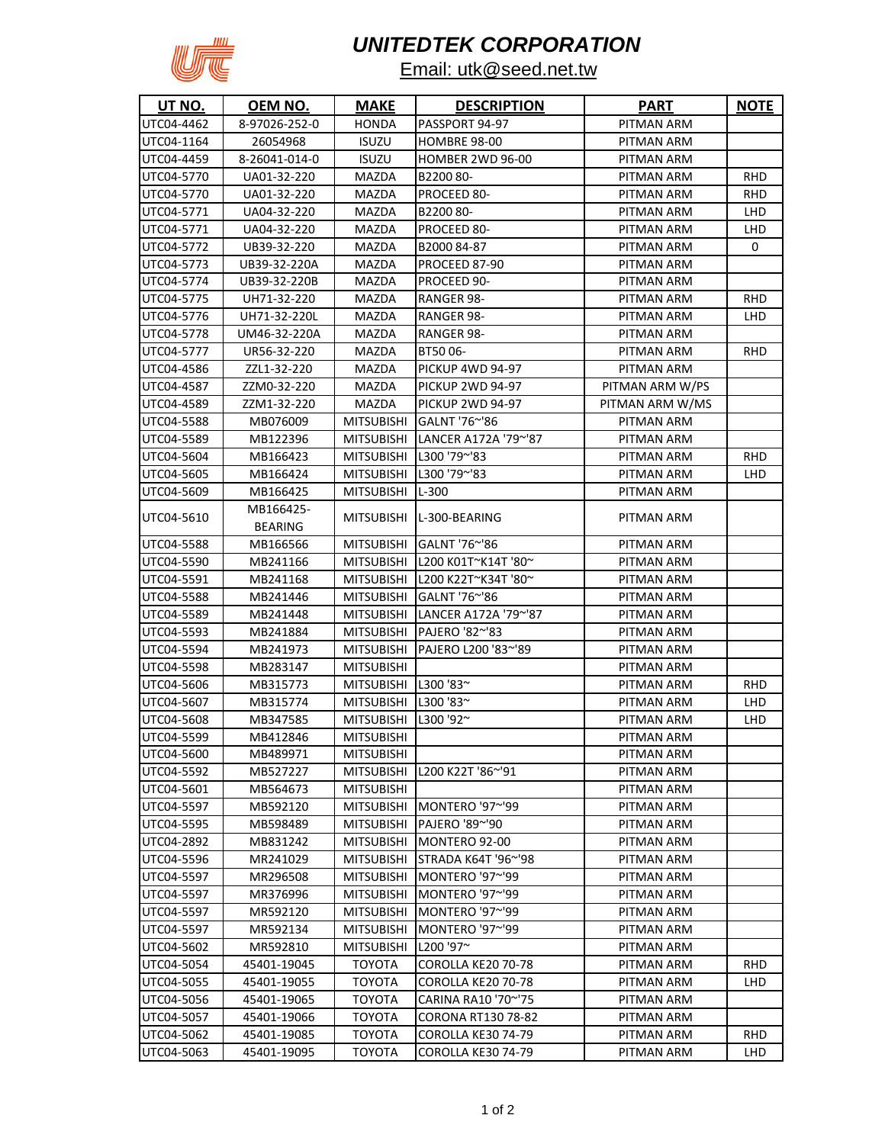

## *UNITEDTEK CORPORATION*

## Email: utk@seed.net.tw

| UT NO.     | <u>OEM NO.</u>              | <b>MAKE</b>          | <b>DESCRIPTION</b>              | <b>PART</b>     | <b>NOTE</b> |
|------------|-----------------------------|----------------------|---------------------------------|-----------------|-------------|
| UTC04-4462 | 8-97026-252-0               | HONDA                | PASSPORT 94-97                  | PITMAN ARM      |             |
| UTC04-1164 | 26054968                    | ISUZU                | HOMBRE 98-00                    | PITMAN ARM      |             |
| UTC04-4459 | 8-26041-014-0               | <b>ISUZU</b>         | HOMBER 2WD 96-00                | PITMAN ARM      |             |
| UTC04-5770 | UA01-32-220                 | MAZDA                | B2200 80-                       | PITMAN ARM      | <b>RHD</b>  |
| UTC04-5770 | UA01-32-220                 | MAZDA                | PROCEED 80-                     | PITMAN ARM      | <b>RHD</b>  |
| UTC04-5771 | UA04-32-220                 | MAZDA                | B2200 80-                       | PITMAN ARM      | LHD         |
| UTC04-5771 | UA04-32-220                 | MAZDA                | PROCEED 80-                     | PITMAN ARM      | LHD         |
| UTC04-5772 | UB39-32-220                 | MAZDA                | B2000 84-87                     | PITMAN ARM      | 0           |
| UTC04-5773 | UB39-32-220A                | MAZDA                | PROCEED 87-90                   | PITMAN ARM      |             |
| UTC04-5774 | UB39-32-220B                | MAZDA                | PROCEED 90-                     | PITMAN ARM      |             |
| UTC04-5775 | UH71-32-220                 | MAZDA                | RANGER 98-                      | PITMAN ARM      | RHD         |
| UTC04-5776 | UH71-32-220L                | MAZDA                | RANGER 98-                      | PITMAN ARM      | <b>LHD</b>  |
| UTC04-5778 | UM46-32-220A                | MAZDA                | RANGER 98-                      | PITMAN ARM      |             |
| UTC04-5777 | UR56-32-220                 | MAZDA                | BT50 06-                        | PITMAN ARM      | RHD         |
| UTC04-4586 | ZZL1-32-220                 | MAZDA                | PICKUP 4WD 94-97                | PITMAN ARM      |             |
| UTC04-4587 | ZZM0-32-220                 | MAZDA                | <b>PICKUP 2WD 94-97</b>         | PITMAN ARM W/PS |             |
| UTC04-4589 | ZZM1-32-220                 | MAZDA                | <b>PICKUP 2WD 94-97</b>         | PITMAN ARM W/MS |             |
| UTC04-5588 | MB076009                    | <b>MITSUBISHI</b>    | GALNT '76~'86                   | PITMAN ARM      |             |
| UTC04-5589 | MB122396                    |                      | MITSUBISHI LANCER A172A '79~'87 | PITMAN ARM      |             |
| UTC04-5604 | MB166423                    | <b>MITSUBISHI</b>    | $L300'79^{\sim}83$              | PITMAN ARM      | <b>RHD</b>  |
| UTC04-5605 | MB166424                    | <b>MITSUBISHI</b>    | L300 '79~'83                    | PITMAN ARM      | <b>LHD</b>  |
| UTC04-5609 | MB166425                    | <b>MITSUBISHI</b>    | L-300                           | PITMAN ARM      |             |
| UTC04-5610 | MB166425-<br><b>BEARING</b> | <b>MITSUBISHI</b>    | L-300-BEARING                   | PITMAN ARM      |             |
| UTC04-5588 | MB166566                    | <b>MITSUBISHI</b>    | GALNT '76~'86                   | PITMAN ARM      |             |
| UTC04-5590 | MB241166                    | <b>MITSUBISHI</b>    | L200 K01T~K14T '80~             | PITMAN ARM      |             |
| UTC04-5591 | MB241168                    | <b>MITSUBISHI</b>    | L200 K22T~K34T '80~             | PITMAN ARM      |             |
| UTC04-5588 | MB241446                    | <b>MITSUBISHI</b>    | GALNT '76~'86                   | PITMAN ARM      |             |
| UTC04-5589 | MB241448                    | MITSUBISHI           | LANCER A172A '79~'87            | PITMAN ARM      |             |
| UTC04-5593 | MB241884                    | <b>MITSUBISHI</b>    | PAJERO '82~'83                  | PITMAN ARM      |             |
| UTC04-5594 | MB241973                    | MITSUBISHI           | PAJERO L200 '83~'89             | PITMAN ARM      |             |
| UTC04-5598 | MB283147                    | MITSUBISHI           |                                 | PITMAN ARM      |             |
| UTC04-5606 | MB315773                    | MITSUBISHI L300 '83~ |                                 | PITMAN ARM      | <b>RHD</b>  |
| UTC04-5607 | MB315774                    | MITSUBISHI L300 '83~ |                                 | PITMAN ARM      | <b>LHD</b>  |
| UTC04-5608 | MB347585                    | MITSUBISHI L300 '92~ |                                 | PITMAN ARM      | LHD         |
| UTC04-5599 | MB412846                    | <b>MITSUBISHI</b>    |                                 | PITMAN ARM      |             |
| UTC04-5600 | MB489971                    | <b>MITSUBISHI</b>    |                                 | PITMAN ARM      |             |
| UTC04-5592 | MB527227                    | MITSUBISHI           | L200 K22T '86~'91               | PITMAN ARM      |             |
| UTC04-5601 | MB564673                    | <b>MITSUBISHI</b>    |                                 | PITMAN ARM      |             |
| UTC04-5597 | MB592120                    | <b>MITSUBISHI</b>    | MONTERO '97~'99                 | PITMAN ARM      |             |
| UTC04-5595 | MB598489                    | <b>MITSUBISHI</b>    | PAJERO '89~'90                  | PITMAN ARM      |             |
| UTC04-2892 | MB831242                    | <b>MITSUBISHI</b>    | MONTERO 92-00                   | PITMAN ARM      |             |
| UTC04-5596 | MR241029                    | <b>MITSUBISHI</b>    | STRADA K64T '96~'98             | PITMAN ARM      |             |
| UTC04-5597 | MR296508                    | <b>MITSUBISHI</b>    | MONTERO '97~'99                 | PITMAN ARM      |             |
| UTC04-5597 | MR376996                    | <b>MITSUBISHI</b>    | MONTERO '97~'99                 | PITMAN ARM      |             |
| UTC04-5597 | MR592120                    | <b>MITSUBISHI</b>    | MONTERO '97~'99                 | PITMAN ARM      |             |
| UTC04-5597 | MR592134                    | <b>MITSUBISHI</b>    | MONTERO '97~'99                 | PITMAN ARM      |             |
| UTC04-5602 | MR592810                    | <b>MITSUBISHI</b>    | L200 '97~                       | PITMAN ARM      |             |
| UTC04-5054 | 45401-19045                 | <b>TOYOTA</b>        | COROLLA KE20 70-78              | PITMAN ARM      | <b>RHD</b>  |
| UTC04-5055 | 45401-19055                 | <b>TOYOTA</b>        | COROLLA KE20 70-78              | PITMAN ARM      | LHD         |
| UTC04-5056 | 45401-19065                 | TOYOTA               | CARINA RA10 '70~'75             | PITMAN ARM      |             |
| UTC04-5057 | 45401-19066                 | TOYOTA               | CORONA RT130 78-82              | PITMAN ARM      |             |
| UTC04-5062 | 45401-19085                 | ТОҮОТА               | COROLLA KE30 74-79              | PITMAN ARM      | <b>RHD</b>  |
| UTC04-5063 | 45401-19095                 | ТОҮОТА               | COROLLA KE30 74-79              | PITMAN ARM      | LHD         |